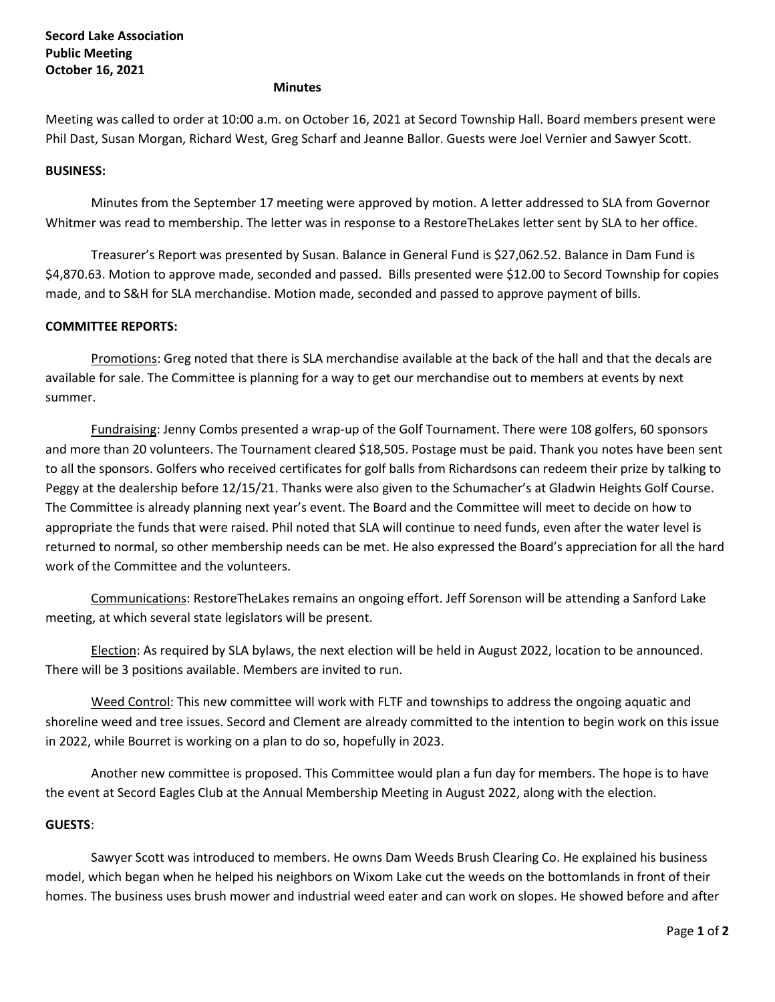#### **Minutes**

Meeting was called to order at 10:00 a.m. on October 16, 2021 at Secord Township Hall. Board members present were Phil Dast, Susan Morgan, Richard West, Greg Scharf and Jeanne Ballor. Guests were Joel Vernier and Sawyer Scott.

### **BUSINESS:**

Minutes from the September 17 meeting were approved by motion. A letter addressed to SLA from Governor Whitmer was read to membership. The letter was in response to a RestoreTheLakes letter sent by SLA to her office.

Treasurer's Report was presented by Susan. Balance in General Fund is \$27,062.52. Balance in Dam Fund is \$4,870.63. Motion to approve made, seconded and passed. Bills presented were \$12.00 to Secord Township for copies made, and to S&H for SLA merchandise. Motion made, seconded and passed to approve payment of bills.

## **COMMITTEE REPORTS:**

Promotions: Greg noted that there is SLA merchandise available at the back of the hall and that the decals are available for sale. The Committee is planning for a way to get our merchandise out to members at events by next summer.

Fundraising: Jenny Combs presented a wrap-up of the Golf Tournament. There were 108 golfers, 60 sponsors and more than 20 volunteers. The Tournament cleared \$18,505. Postage must be paid. Thank you notes have been sent to all the sponsors. Golfers who received certificates for golf balls from Richardsons can redeem their prize by talking to Peggy at the dealership before 12/15/21. Thanks were also given to the Schumacher's at Gladwin Heights Golf Course. The Committee is already planning next year's event. The Board and the Committee will meet to decide on how to appropriate the funds that were raised. Phil noted that SLA will continue to need funds, even after the water level is returned to normal, so other membership needs can be met. He also expressed the Board's appreciation for all the hard work of the Committee and the volunteers.

Communications: RestoreTheLakes remains an ongoing effort. Jeff Sorenson will be attending a Sanford Lake meeting, at which several state legislators will be present.

Election: As required by SLA bylaws, the next election will be held in August 2022, location to be announced. There will be 3 positions available. Members are invited to run.

Weed Control: This new committee will work with FLTF and townships to address the ongoing aquatic and shoreline weed and tree issues. Secord and Clement are already committed to the intention to begin work on this issue in 2022, while Bourret is working on a plan to do so, hopefully in 2023.

Another new committee is proposed. This Committee would plan a fun day for members. The hope is to have the event at Secord Eagles Club at the Annual Membership Meeting in August 2022, along with the election.

### **GUESTS**:

Sawyer Scott was introduced to members. He owns Dam Weeds Brush Clearing Co. He explained his business model, which began when he helped his neighbors on Wixom Lake cut the weeds on the bottomlands in front of their homes. The business uses brush mower and industrial weed eater and can work on slopes. He showed before and after